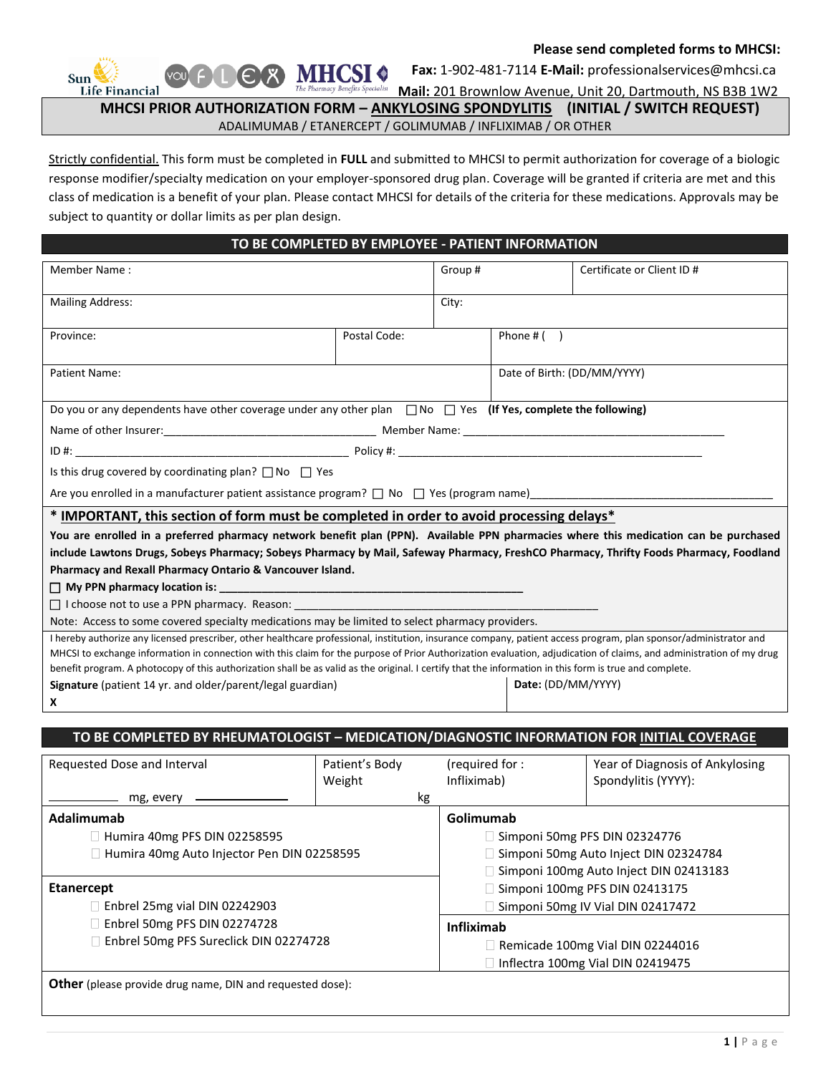## **Please send completed forms to MHCSI:**

Sun **Life Financial**   **Fax:** 1-902-481-7114 **E-Mail:** professionalservices@mhcsi.ca

 **Mail:** 201 Brownlow Avenue, Unit 20, Dartmouth, NS B3B 1W2  **MHCSI PRIOR AUTHORIZATION FORM – ANKYLOSING SPONDYLITIS (INITIAL / SWITCH REQUEST)**

ADALIMUMAB / ETANERCEPT / GOLIMUMAB / INFLIXIMAB / OR OTHER

Strictly confidential. This form must be completed in **FULL** and submitted to MHCSI to permit authorization for coverage of a biologic response modifier/specialty medication on your employer-sponsored drug plan. Coverage will be granted if criteria are met and this class of medication is a benefit of your plan. Please contact MHCSI for details of the criteria for these medications. Approvals may be subject to quantity or dollar limits as per plan design.

## **TO BE COMPLETED BY EMPLOYEE - PATIENT INFORMATION**

| Member Name:                                                                                                                                                                                                                                                                                                                              |                                                                   |                | Group#<br>Certificate or Client ID #                                            |                                 |  |  |
|-------------------------------------------------------------------------------------------------------------------------------------------------------------------------------------------------------------------------------------------------------------------------------------------------------------------------------------------|-------------------------------------------------------------------|----------------|---------------------------------------------------------------------------------|---------------------------------|--|--|
| <b>Mailing Address:</b>                                                                                                                                                                                                                                                                                                                   |                                                                   |                | City:                                                                           |                                 |  |  |
| Province:                                                                                                                                                                                                                                                                                                                                 | Postal Code:                                                      |                |                                                                                 |                                 |  |  |
| Patient Name:                                                                                                                                                                                                                                                                                                                             |                                                                   |                | Date of Birth: (DD/MM/YYYY)                                                     |                                 |  |  |
| Do you or any dependents have other coverage under any other plan $\Box$ No $\Box$ Yes (If Yes, complete the following)                                                                                                                                                                                                                   |                                                                   |                |                                                                                 |                                 |  |  |
|                                                                                                                                                                                                                                                                                                                                           |                                                                   |                |                                                                                 |                                 |  |  |
|                                                                                                                                                                                                                                                                                                                                           |                                                                   |                |                                                                                 |                                 |  |  |
| Is this drug covered by coordinating plan? $\Box$ No $\Box$ Yes                                                                                                                                                                                                                                                                           |                                                                   |                |                                                                                 |                                 |  |  |
| Are you enrolled in a manufacturer patient assistance program? □ No □ Yes (program name)___________                                                                                                                                                                                                                                       |                                                                   |                |                                                                                 |                                 |  |  |
| * IMPORTANT, this section of form must be completed in order to avoid processing delays*                                                                                                                                                                                                                                                  |                                                                   |                |                                                                                 |                                 |  |  |
| You are enrolled in a preferred pharmacy network benefit plan (PPN). Available PPN pharmacies where this medication can be purchased                                                                                                                                                                                                      |                                                                   |                |                                                                                 |                                 |  |  |
| include Lawtons Drugs, Sobeys Pharmacy; Sobeys Pharmacy by Mail, Safeway Pharmacy, FreshCO Pharmacy, Thrifty Foods Pharmacy, Foodland                                                                                                                                                                                                     |                                                                   |                |                                                                                 |                                 |  |  |
| Pharmacy and Rexall Pharmacy Ontario & Vancouver Island.                                                                                                                                                                                                                                                                                  |                                                                   |                |                                                                                 |                                 |  |  |
| $\Box$ My PPN pharmacy location is:                                                                                                                                                                                                                                                                                                       | <u> 1989 - Johann Barbara, margaret eta idazlearia (h. 1989).</u> |                |                                                                                 |                                 |  |  |
| □ I choose not to use a PPN pharmacy. Reason:<br>Note: Access to some covered specialty medications may be limited to select pharmacy providers.                                                                                                                                                                                          |                                                                   |                |                                                                                 |                                 |  |  |
|                                                                                                                                                                                                                                                                                                                                           |                                                                   |                |                                                                                 |                                 |  |  |
| I hereby authorize any licensed prescriber, other healthcare professional, institution, insurance company, patient access program, plan sponsor/administrator and<br>MHCSI to exchange information in connection with this claim for the purpose of Prior Authorization evaluation, adjudication of claims, and administration of my drug |                                                                   |                |                                                                                 |                                 |  |  |
| benefit program. A photocopy of this authorization shall be as valid as the original. I certify that the information in this form is true and complete.                                                                                                                                                                                   |                                                                   |                |                                                                                 |                                 |  |  |
| Signature (patient 14 yr. and older/parent/legal guardian)<br>Date: (DD/MM/YYYY)                                                                                                                                                                                                                                                          |                                                                   |                |                                                                                 |                                 |  |  |
| X                                                                                                                                                                                                                                                                                                                                         |                                                                   |                |                                                                                 |                                 |  |  |
| TO BE COMPLETED BY RHEUMATOLOGIST - MEDICATION/DIAGNOSTIC INFORMATION FOR INITIAL COVERAGE                                                                                                                                                                                                                                                |                                                                   |                |                                                                                 |                                 |  |  |
|                                                                                                                                                                                                                                                                                                                                           |                                                                   |                |                                                                                 |                                 |  |  |
| Requested Dose and Interval                                                                                                                                                                                                                                                                                                               | Patient's Body                                                    | (required for: |                                                                                 | Year of Diagnosis of Ankylosing |  |  |
|                                                                                                                                                                                                                                                                                                                                           | Weight                                                            | Infliximab)    |                                                                                 | Spondylitis (YYYY):             |  |  |
| mg, every $\rule{1em}{0.15mm}$                                                                                                                                                                                                                                                                                                            | kg                                                                |                |                                                                                 |                                 |  |  |
| Adalimumab                                                                                                                                                                                                                                                                                                                                |                                                                   |                | Golimumab                                                                       |                                 |  |  |
| Humira 40mg PFS DIN 02258595                                                                                                                                                                                                                                                                                                              |                                                                   |                | Simponi 50mg PFS DIN 02324776                                                   |                                 |  |  |
| Humira 40mg Auto Injector Pen DIN 02258595                                                                                                                                                                                                                                                                                                |                                                                   |                | Simponi 50mg Auto Inject DIN 02324784<br>Simponi 100mg Auto Inject DIN 02413183 |                                 |  |  |

- $\Box$  Enbrel 25mg vial DIN 02242903
- Enbrel 50mg PFS DIN 02274728
	- Enbrel 50mg PFS Sureclick DIN 02274728

| Remicade 100mg Vial DIN 02244016         |
|------------------------------------------|
| $\Box$ Inflectra 100mg Vial DIN 02419475 |

Simponi 100mg PFS DIN 02413175  $\Box$  Simponi 50mg IV Vial DIN 02417472

**Infliximab**

**Other** (please provide drug name, DIN and requested dose):